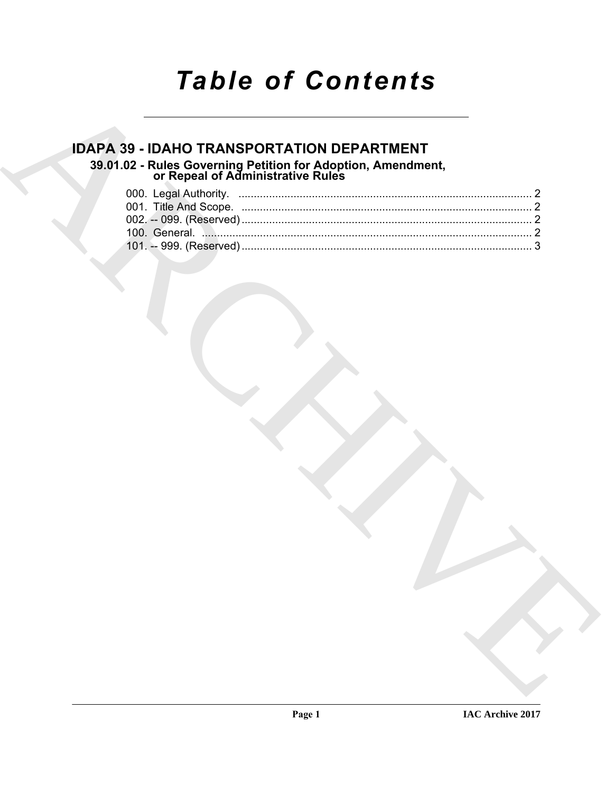# *Table of Contents*

# **IDAPA 39 - IDAHO TRANSPORTATION DEPARTMENT 39.01.02 - Rules Governing Petition for Adoption, Amendment, or Repeal of Administrative Rules**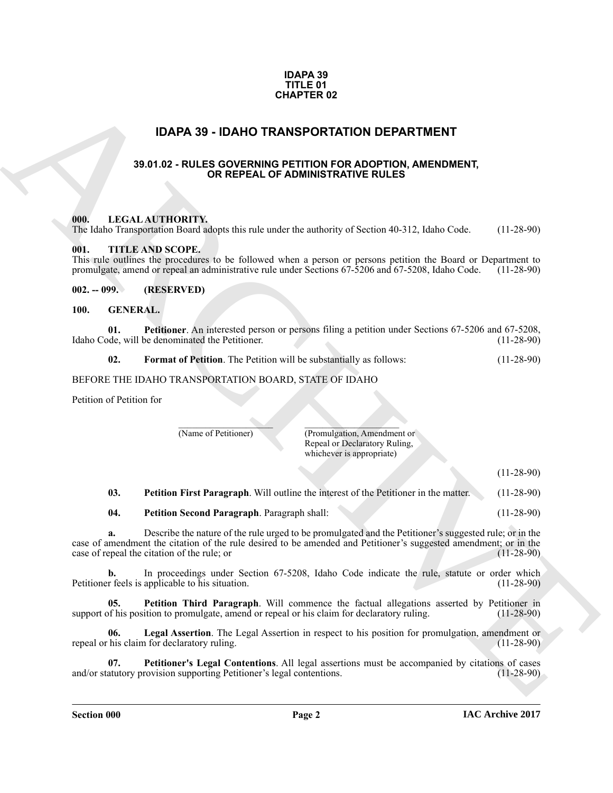#### **IDAPA 39 TITLE 01 CHAPTER 02**

### **IDAPA 39 - IDAHO TRANSPORTATION DEPARTMENT**

#### <span id="page-1-0"></span>**39.01.02 - RULES GOVERNING PETITION FOR ADOPTION, AMENDMENT, OR REPEAL OF ADMINISTRATIVE RULES**

#### <span id="page-1-2"></span><span id="page-1-1"></span>**000. LEGAL AUTHORITY.**

The Idaho Transportation Board adopts this rule under the authority of Section 40-312, Idaho Code. (11-28-90)

#### <span id="page-1-3"></span>**001. TITLE AND SCOPE.**

This rule outlines the procedures to be followed when a person or persons petition the Board or Department to promulgate, amend or repeal an administrative rule under Sections 67-5206 and 67-5208, Idaho Code. (11-28-90) promulgate, amend or repeal an administrative rule under Sections 67-5206 and 67-5208, Idaho Code.

#### <span id="page-1-4"></span>**002. -- 099. (RESERVED)**

#### <span id="page-1-6"></span><span id="page-1-5"></span>**100. GENERAL.**

**01. Petitioner**. An interested person or persons filing a petition under Sections 67-5206 and 67-5208, Idaho Code, will be denominated the Petitioner.

<span id="page-1-12"></span><span id="page-1-7"></span>**02.** Format of Petition. The Petition will be substantially as follows: (11-28-90)

#### BEFORE THE IDAHO TRANSPORTATION BOARD, STATE OF IDAHO

Petition of Petition for

 $\overline{\phantom{a}}$ (Name of Petitioner)

(Promulgation, Amendment or Repeal or Declaratory Ruling, whichever is appropriate)

 $\mathcal{L}=\mathcal{L}$ 

(11-28-90)

<span id="page-1-9"></span>**03.** Petition First Paragraph. Will outline the interest of the Petitioner in the matter. (11-28-90)

<span id="page-1-10"></span>**04. Petition Second Paragraph**. Paragraph shall: (11-28-90)

**CHAPTER 0.2**<br> **IDAPA 39 - IDAHO TRANSPORTATION DEPARTMENT**<br> **39.61.02 - RULES COVERNING PETITION FOR ADOPTION, AMENDMENT,**<br> **ARCHIVE TRANSPORT AND CONFIDENT ATTICK AND SCOTTS.**<br> **CHAPTER CONFIDENTIAL CONFIDENTIAL CONFIDE a.** Describe the nature of the rule urged to be promulgated and the Petitioner's suggested rule; or in the case of amendment the citation of the rule desired to be amended and Petitioner's suggested amendment; or in the case of repeal the citation of the rule; or (11-28-90) case of repeal the citation of the rule; or

**b.** In proceedings under Section 67-5208, Idaho Code indicate the rule, statute or order which r feels is applicable to his situation. (11-28-90) Petitioner feels is applicable to his situation.

<span id="page-1-11"></span>**05. Petition Third Paragraph**. Will commence the factual allegations asserted by Petitioner in of his position to promulgate, amend or repeal or his claim for declaratory ruling. (11-28-90) support of his position to promulgate, amend or repeal or his claim for declaratory ruling.

<span id="page-1-8"></span>**06.** Legal Assertion. The Legal Assertion in respect to his position for promulgation, amendment or his claim for declaratory ruling. (11-28-90) repeal or his claim for declaratory ruling.

<span id="page-1-13"></span>**07. Petitioner's Legal Contentions**. All legal assertions must be accompanied by citations of cases and/or statutory provision supporting Petitioner's legal contentions. (11-28-90)

**Section 000 Page 2**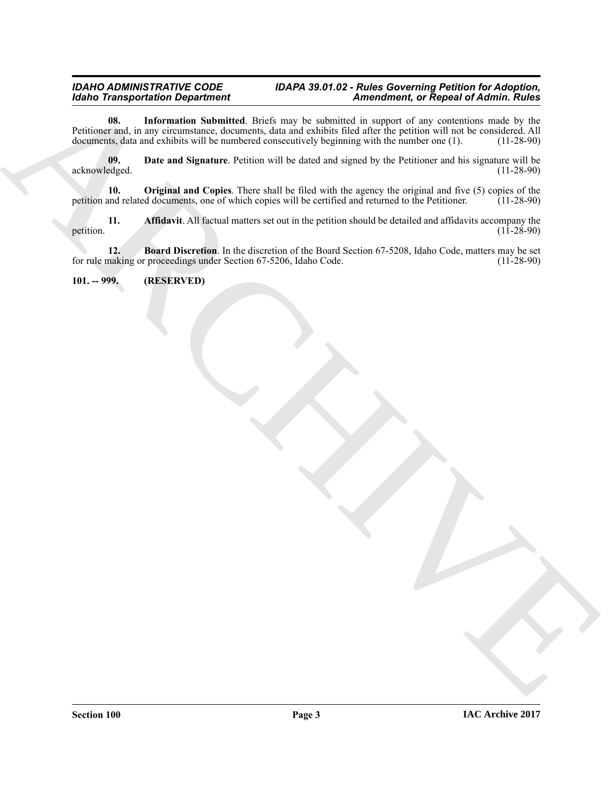#### <span id="page-2-4"></span>*IDAHO ADMINISTRATIVE CODE IDAPA 39.01.02 - Rules Governing Petition for Adoption, Idaho Transportation Department Amendment, or Repeal of Admin. Rules*

Model Transportation Department<br>
Archives the internation Nobelini which the specific and the statement of Representation of Representation<br>
National Representation of the model of the property of the specifical system wi **08. Information Submitted**. Briefs may be submitted in support of any contentions made by the Petitioner and, in any circumstance, documents, data and exhibits filed after the petition will not be considered. All documents, data and exhibits will be numbered consecutively beginning with the number one (1). (11-28-9 documents, data and exhibits will be numbered consecutively beginning with the number one (1).

<span id="page-2-3"></span>**09. Date and Signature**. Petition will be dated and signed by the Petitioner and his signature will be edged. (11-28-90) acknowledged.

<span id="page-2-5"></span>**10. Original and Copies**. There shall be filed with the agency the original and five (5) copies of the and related documents, one of which copies will be certified and returned to the Petitioner. (11-28-90) petition and related documents, one of which copies will be certified and returned to the Petitioner.

<span id="page-2-1"></span>**11. Affidavit**. All factual matters set out in the petition should be detailed and affidavits accompany the (11-28-90) petition.  $(11-28-90)$ 

<span id="page-2-2"></span>**12. Board Discretion**. In the discretion of the Board Section 67-5208, Idaho Code, matters may be set making or proceedings under Section 67-5206, Idaho Code. (11-28-90) for rule making or proceedings under Section 67-5206, Idaho Code.

### <span id="page-2-0"></span>**101. -- 999. (RESERVED)**